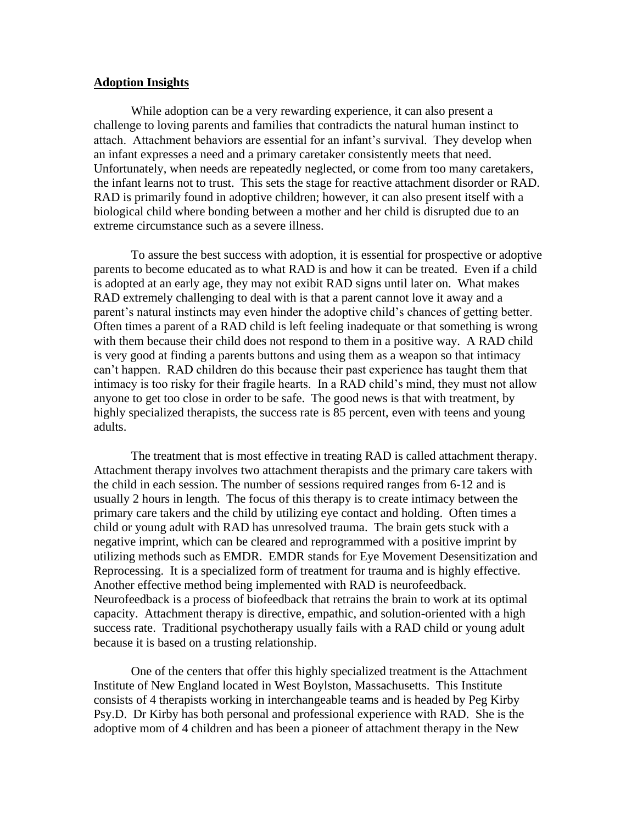## **Adoption Insights**

While adoption can be a very rewarding experience, it can also present a challenge to loving parents and families that contradicts the natural human instinct to attach. Attachment behaviors are essential for an infant's survival. They develop when an infant expresses a need and a primary caretaker consistently meets that need. Unfortunately, when needs are repeatedly neglected, or come from too many caretakers, the infant learns not to trust. This sets the stage for reactive attachment disorder or RAD. RAD is primarily found in adoptive children; however, it can also present itself with a biological child where bonding between a mother and her child is disrupted due to an extreme circumstance such as a severe illness.

To assure the best success with adoption, it is essential for prospective or adoptive parents to become educated as to what RAD is and how it can be treated. Even if a child is adopted at an early age, they may not exibit RAD signs until later on. What makes RAD extremely challenging to deal with is that a parent cannot love it away and a parent's natural instincts may even hinder the adoptive child's chances of getting better. Often times a parent of a RAD child is left feeling inadequate or that something is wrong with them because their child does not respond to them in a positive way. A RAD child is very good at finding a parents buttons and using them as a weapon so that intimacy can't happen. RAD children do this because their past experience has taught them that intimacy is too risky for their fragile hearts. In a RAD child's mind, they must not allow anyone to get too close in order to be safe. The good news is that with treatment, by highly specialized therapists, the success rate is 85 percent, even with teens and young adults.

The treatment that is most effective in treating RAD is called attachment therapy. Attachment therapy involves two attachment therapists and the primary care takers with the child in each session. The number of sessions required ranges from 6-12 and is usually 2 hours in length. The focus of this therapy is to create intimacy between the primary care takers and the child by utilizing eye contact and holding. Often times a child or young adult with RAD has unresolved trauma. The brain gets stuck with a negative imprint, which can be cleared and reprogrammed with a positive imprint by utilizing methods such as EMDR. EMDR stands for Eye Movement Desensitization and Reprocessing. It is a specialized form of treatment for trauma and is highly effective. Another effective method being implemented with RAD is neurofeedback. Neurofeedback is a process of biofeedback that retrains the brain to work at its optimal capacity. Attachment therapy is directive, empathic, and solution-oriented with a high success rate. Traditional psychotherapy usually fails with a RAD child or young adult because it is based on a trusting relationship.

One of the centers that offer this highly specialized treatment is the Attachment Institute of New England located in West Boylston, Massachusetts. This Institute consists of 4 therapists working in interchangeable teams and is headed by Peg Kirby Psy.D. Dr Kirby has both personal and professional experience with RAD. She is the adoptive mom of 4 children and has been a pioneer of attachment therapy in the New